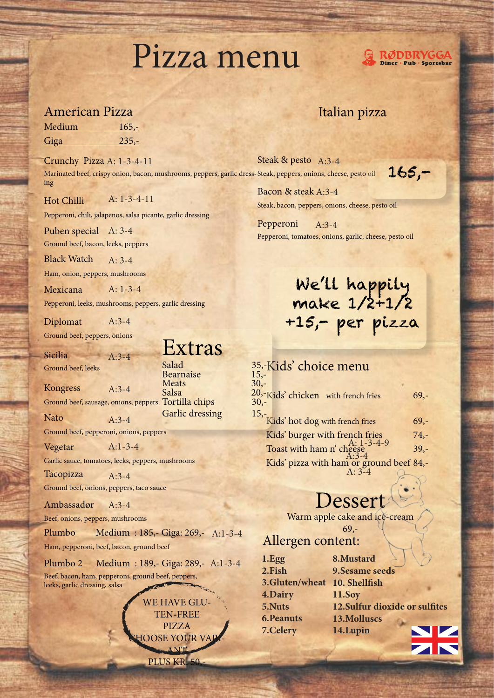### Pizza menu

#### American Pizza

| Medium      | $165,-$ |
|-------------|---------|
| <u>Giga</u> | $235 -$ |

Crunchy Pizza A: 1-3-4-11 Marinated beef, crispy onion, bacon, mushrooms, peppers, garlic dress-Steak, peppers, onions, cheese, pesto oil ing

Hot Chilli A: 1-3-4-11

Pepperoni, chili, jalapenos, salsa picante, garlic dressing

Puben special A: 3-4

Ground beef, bacon, leeks, peppers

Black Watch  $A: 3-4$ 

Ham, onion, peppers, mushrooms

Mexicana A: 1-3-4

Pepperoni, leeks, mushrooms, peppers, garlic dressing

 $A:3-4$ 

Diplomat A:3-4

Ground beef, peppers, onions

Sicilia Ground beef, leeks Extras

Kongress Ground beef, sausage, onions, peppers Tortilla chips 30,-  $A:3-4$ 

Nato

Ground beef, pepperoni, onions, peppers A:3-4

A:1-3-4

Vegetar

Garlic sauce, tomatoes, leeks, peppers, mushrooms

Tacopizza Ground beef, onions, peppers, taco sauce A:3-4

Ambassadør  $A.3-4$ 

Beef, onions, peppers, mushrooms

Plumbo Medium : 185,- Giga: 269,- A:1-3-4 Ham, pepperoni, beef, bacon, ground beef

Plumbo 2 Medium : 189,- Giga: 289,- A:1-3-4 Beef, bacon, ham, pepperoni, ground beef, peppers,

leeks, garlic dressing, salsa

**WE HAVE GLU** TEN-FREE PIZZA **OOSE YOUR VAI** ANT PLUS KR. 50,

#### Italian pizza

Steak & pesto A:3-4

165,-

**RØDBRYGGA** Diner · Pub · Sportsbar

Bacon & steak A:3-4 Steak, bacon, peppers, onions, cheese, pesto oil

Pepperoni Pepperoni, tomatoes, onions, garlic, cheese, pesto oil A:3-4

### We'll happily make 1/2+1/2 +15,- per pizza

#### 35,-Kids' choice menu  $\frac{20, \text{Kids}}{30, \text{--}}$  Chicken with french fries 69,-15,-<br>Kids' hot dog with french fries 69,-Kids' burger with french fries 74,-Toast with ham n' cheese  $^{A:1-3-4-9}$  39,-Kids' pizza with ham or ground beef 84,-  $A:3-4$ A: 3-4

### Dessert

Warm apple cake and ice-cream

69,-

#### Allergen content:

| 1.Egg                        | 8.Mustard                      |
|------------------------------|--------------------------------|
| 2.Fish                       | <b>9.Sesame seeds</b>          |
| 3.Gluten/wheat 10. Shellfish |                                |
| 4.Dairy                      | <b>11.Soy</b>                  |
| 5.Nuts                       | 12. Sulfur dioxide or sulfites |
| <b>6.Peanuts</b>             | 13.Molluscs                    |
| 7.Celery                     | 14.Lupin                       |
|                              |                                |

Salad 35,-<br>Rearnaise 15,-Bearnaise 15,-<br>Meats 30,-Meats Salsa

Garlic dressing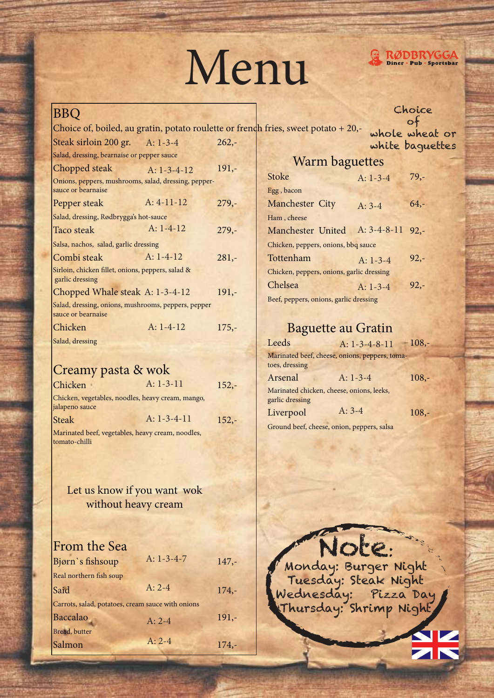# Menu



#### BBQ

Choice of, boiled, au gratin, potato roulette or french fries, sweet potato  $+20,$ -Steak sirloin 200 gr. A: 1-3-4 262,-A: 1-3-4

of whole wheat or white baguettes

Choice

|  | Warm baguettes |
|--|----------------|
|--|----------------|

| Chopped steak                                                              | $A: 1 - 3 - 4 - 12$ | $191, -$ |
|----------------------------------------------------------------------------|---------------------|----------|
| Onions, peppers, mushrooms, salad, dressing, pepper-<br>sauce or bearnaise |                     |          |
| Pepper steak                                                               | $A: 4-11-12$        | $279,-$  |
| Salad, dressing, Rødbrygga's hot-sauce                                     |                     |          |
| Taco steak                                                                 | $A: 1-4-12$         | $279 -$  |
| Salsa, nachos, salad, garlic dressing                                      |                     |          |
| Combi steak                                                                | $A: 1-4-12$         | $281 -$  |
| Sirloin, chicken fillet, onions, peppers, salad &<br>garlic dressing       |                     |          |
| Chopped Whale steak A: 1-3-4-12                                            |                     | $191,-$  |
| Salad, dressing, onions, mushrooms, peppers, pepper<br>sauce or bearnaise  |                     |          |
| Chicken                                                                    | $A: 1-4-12$         | $175,-$  |
| Salad, dressing                                                            |                     |          |

#### Creamy pasta & wok

Salad, dressing, bearnaise or pepper sauce

| Chicken        | $A: 1-3-11$                                       | $152,-$ |
|----------------|---------------------------------------------------|---------|
| jalapeno sauce | Chicken, vegetables, noodles, heavy cream, mango, |         |
| <b>Steak</b>   | $A: 1-3-4-11$                                     | $152,-$ |
|                |                                                   |         |

Marinated beef, vegetables, heavy cream, noodles, tomato-chilli

#### Let us know if you want wok without heavy cream

| From the Sea                                      |              |         |
|---------------------------------------------------|--------------|---------|
| Bjørn's fishsoup                                  | A: $1-3-4-7$ | $147,-$ |
| Real northern fish soup                           |              |         |
| Said                                              | $A: 2-4$     | $174,-$ |
| Carrots, salad, potatoes, cream sauce with onions |              |         |
| Baccalao                                          | $A: 2-4$     | $191,-$ |
| Bread, butter                                     |              |         |
| Salmon                                            | $A: 2-4$     | $174 -$ |

| <b>Stoke</b>                              | $A: 1-3-4$         | $79,-$ |
|-------------------------------------------|--------------------|--------|
| Egg, bacon                                |                    |        |
| Manchester City                           | $A: 3-4$           | $64,-$ |
| Ham, cheese                               |                    |        |
| Manchester United                         | A: $3-4-8-11$ 92,- |        |
| Chicken, peppers, onions, bbq sauce       |                    |        |
| Tottenham                                 | $A: 1-3-4$         | $92 -$ |
| Chicken, peppers, onions, garlic dressing |                    |        |
| Chelsea                                   | $A: 1-3-4$         | $92 -$ |
| Beef, peppers, onions, garlic dressing    |                    |        |

#### Baguette au Gratin

| Leeds                  | A: $1-3-4-8-11$                                | $108,-$  |
|------------------------|------------------------------------------------|----------|
| toes, dressing         | Marinated beef, cheese, onions, peppers, toma- |          |
| Arsenal                | $A: 1-3-4$                                     | $108, -$ |
| garlic dressing        | Marinated chicken, cheese, onions, leeks,      |          |
| Liverpool              | $A: 3-4$                                       | $108, -$ |
| $\Omega$ 11 $\Omega$ 1 |                                                |          |

Ground beef, cheese, onion, peppers, salsa

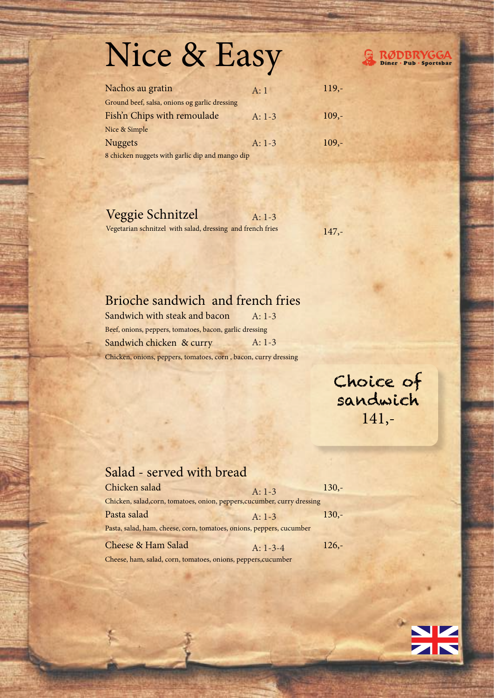## Nice & Easy



| Nachos au gratin                                | A:1      | $119,-$ |
|-------------------------------------------------|----------|---------|
| Ground beef, salsa, onions og garlic dressing   |          |         |
| Fish'n Chips with remoulade                     | $A: 1-3$ | $109 -$ |
| Nice & Simple                                   |          |         |
| <b>Nuggets</b>                                  | $A: 1-3$ | $109 -$ |
| 8 chicken nuggets with garlic dip and mango dip |          |         |

| Veggie Schnitzel<br>$A: 1-3$                               |         |
|------------------------------------------------------------|---------|
| Vegetarian schnitzel with salad, dressing and french fries | $147,-$ |

#### Brioche sandwich and french fries

Sandwich with steak and bacon Beef, onions, peppers, tomatoes, bacon, garlic dressing Sandwich chicken & curry Chicken, onions, peppers, tomatoes, corn , bacon, curry dressing A: 1-3 A: 1-3

> Choice of sandwich 141,-

#### Salad - served with bread

| Chicken salad                                                            | $A: 1-3$   | $130,-$ |
|--------------------------------------------------------------------------|------------|---------|
| Chicken, salad, corn, tomatoes, onion, peppers, cucumber, curry dressing |            |         |
| Pasta salad                                                              | $A: 1-3$   | $130 -$ |
| Pasta, salad, ham, cheese, corn, tomatoes, onions, peppers, cucumber     |            |         |
| <b>Cheese &amp; Ham Salad</b>                                            | $A: 1-3-4$ | $126 -$ |

Cheese, ham, salad, corn, tomatoes, onions, peppers,cucumber